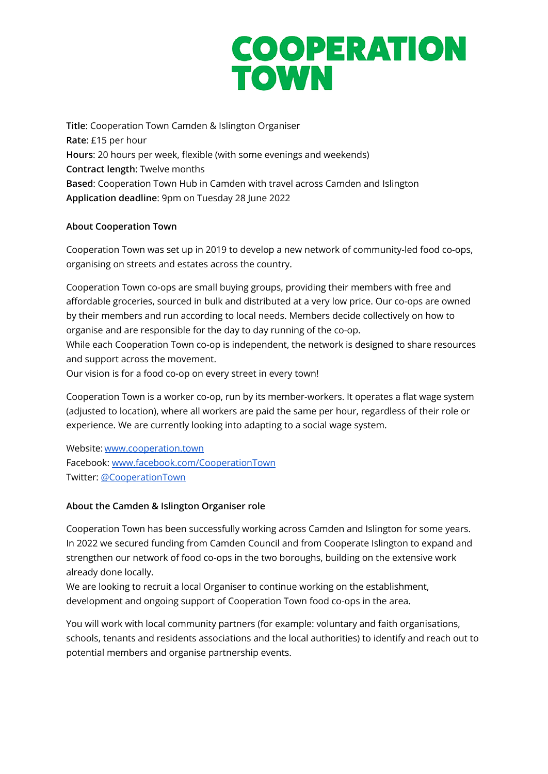## **COOPERATION TOWN**

**Title**: Cooperation Town Camden & Islington Organiser **Rate**: £15 per hour **Hours**: 20 hours per week, flexible (with some evenings and weekends) **Contract length**: Twelve months **Based**: Cooperation Town Hub in Camden with travel across Camden and Islington **Application deadline**: 9pm on Tuesday 28 June 2022

### **About Cooperation Town**

Cooperation Town was set up in 2019 to develop a new network of community-led food co-ops, organising on streets and estates across the country.

Cooperation Town co-ops are small buying groups, providing their members with free and affordable groceries, sourced in bulk and distributed at a very low price. Our co-ops are owned by their members and run according to local needs. Members decide collectively on how to organise and are responsible for the day to day running of the co-op.

While each Cooperation Town co-op is independent, the network is designed to share resources and support across the movement.

Our vision is for a food co-op on every street in every town!

Cooperation Town is a worker co-op, run by its member-workers. It operates a flat wage system (adjusted to location), where all workers are paid the same per hour, regardless of their role or experience. We are currently looking into adapting to a social wage system.

Website: [www.cooperation.town](http://cooperation.town) Facebook: [www.facebook.com/CooperationTown](https://www.facebook.com/CooperationTown/) Twitter: [@CooperationTown](https://twitter.com/CooperationTown)

## **About the Camden & Islington Organiser role**

Cooperation Town has been successfully working across Camden and Islington for some years. In 2022 we secured funding from Camden Council and from Cooperate Islington to expand and strengthen our network of food co-ops in the two boroughs, building on the extensive work already done locally.

We are looking to recruit a local Organiser to continue working on the establishment, development and ongoing support of Cooperation Town food co-ops in the area.

You will work with local community partners (for example: voluntary and faith organisations, schools, tenants and residents associations and the local authorities) to identify and reach out to potential members and organise partnership events.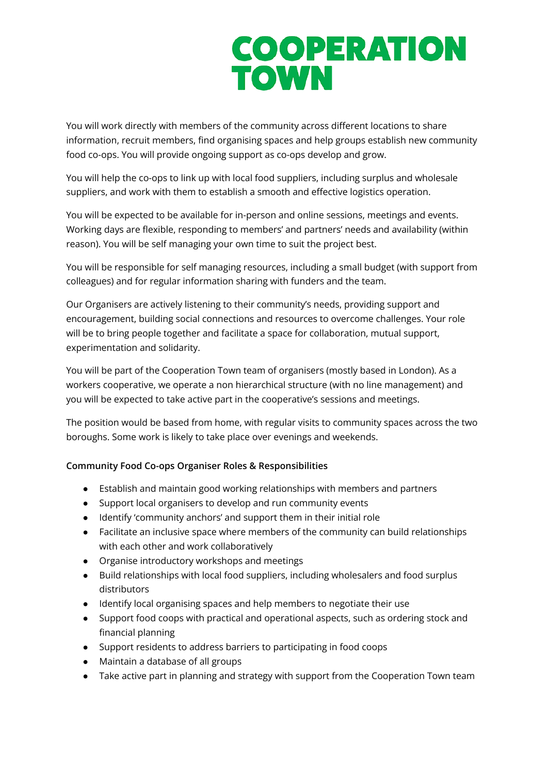## **COOPERATION TOWN**

You will work directly with members of the community across different locations to share information, recruit members, find organising spaces and help groups establish new community food co-ops. You will provide ongoing support as co-ops develop and grow.

You will help the co-ops to link up with local food suppliers, including surplus and wholesale suppliers, and work with them to establish a smooth and effective logistics operation.

You will be expected to be available for in-person and online sessions, meetings and events. Working days are flexible, responding to members' and partners' needs and availability (within reason). You will be self managing your own time to suit the project best.

You will be responsible for self managing resources, including a small budget (with support from colleagues) and for regular information sharing with funders and the team.

Our Organisers are actively listening to their community's needs, providing support and encouragement, building social connections and resources to overcome challenges. Your role will be to bring people together and facilitate a space for collaboration, mutual support, experimentation and solidarity.

You will be part of the Cooperation Town team of organisers (mostly based in London). As a workers cooperative, we operate a non hierarchical structure (with no line management) and you will be expected to take active part in the cooperative's sessions and meetings.

The position would be based from home, with regular visits to community spaces across the two boroughs. Some work is likely to take place over evenings and weekends.

### **Community Food Co-ops Organiser Roles & Responsibilities**

- Establish and maintain good working relationships with members and partners
- Support local organisers to develop and run community events
- Identify 'community anchors' and support them in their initial role
- Facilitate an inclusive space where members of the community can build relationships with each other and work collaboratively
- Organise introductory workshops and meetings
- Build relationships with local food suppliers, including wholesalers and food surplus distributors
- Identify local organising spaces and help members to negotiate their use
- Support food coops with practical and operational aspects, such as ordering stock and financial planning
- Support residents to address barriers to participating in food coops
- Maintain a database of all groups
- Take active part in planning and strategy with support from the Cooperation Town team